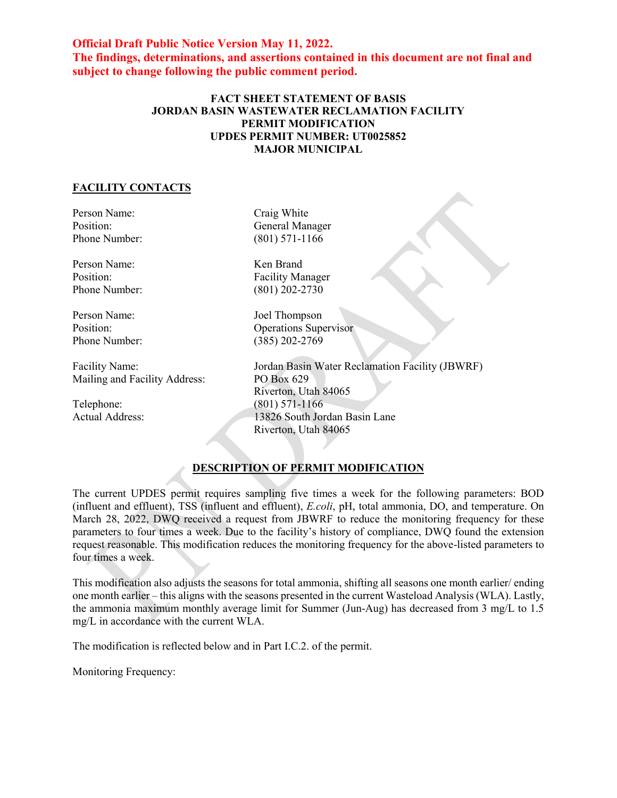**Official Draft Public Notice Version May 11, 2022. The findings, determinations, and assertions contained in this document are not final and subject to change following the public comment period.**

## **FACT SHEET STATEMENT OF BASIS JORDAN BASIN WASTEWATER RECLAMATION FACILITY PERMIT MODIFICATION UPDES PERMIT NUMBER: UT0025852 MAJOR MUNICIPAL**

## **FACILITY CONTACTS**

Person Name: Craig White Phone Number:

Person Name: Ken Brand

Mailing and Facility Address: PO Box 629

Position: General Manager<br>
Phone Number: (801) 571-1166

Position: Facility Manager Phone Number: (801) 202-2730

Person Name: Joel Thompson Position: Operations Supervisor Phone Number: (385) 202-2769

Facility Name: Jordan Basin Water Reclamation Facility (JBWRF) Riverton, Utah 84065 Telephone: (801) 571-1166<br>Actual Address: (801) 571-1166 13826 South Jordan Basin Lane Riverton, Utah 84065

## **DESCRIPTION OF PERMIT MODIFICATION**

The current UPDES permit requires sampling five times a week for the following parameters: BOD (influent and effluent), TSS (influent and effluent), *E.coli*, pH, total ammonia, DO, and temperature. On March 28, 2022, DWQ received a request from JBWRF to reduce the monitoring frequency for these parameters to four times a week. Due to the facility's history of compliance, DWQ found the extension request reasonable. This modification reduces the monitoring frequency for the above-listed parameters to four times a week.

This modification also adjusts the seasons for total ammonia, shifting all seasons one month earlier/ ending one month earlier – this aligns with the seasons presented in the current Wasteload Analysis (WLA). Lastly, the ammonia maximum monthly average limit for Summer (Jun-Aug) has decreased from 3 mg/L to 1.5 mg/L in accordance with the current WLA.

The modification is reflected below and in Part I.C.2. of the permit.

Monitoring Frequency: